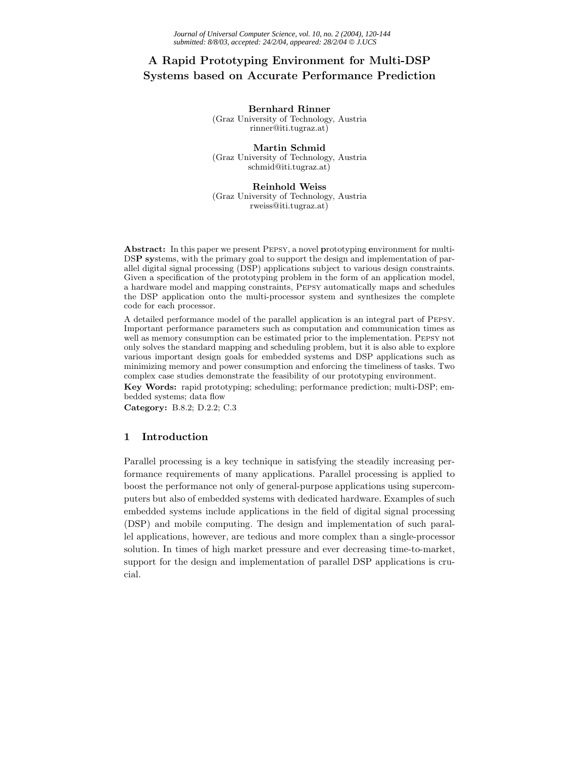# **A Rapid Prototyping Environment for Multi-DSP Systems based on Accurate Performance Prediction**

**Bernhard Rinner**

(Graz University of Technology, Austria rinner@iti.tugraz.at)

**Martin Schmid** (Graz University of Technology, Austria schmid@iti.tugraz.at)

**Reinhold Weiss** (Graz University of Technology, Austria rweiss@iti.tugraz.at)

**Abstract:** In this paper we present Pepsy, a novel **p**rototyping **e**nvironment for multi-DS**P sy**stems, with the primary goal to support the design and implementation of parallel digital signal processing (DSP) applications subject to various design constraints. Given a specification of the prototyping problem in the form of an application model, a hardware model and mapping constraints, Pepsy automatically maps and schedules the DSP application onto the multi-processor system and synthesizes the complete code for each processor.

A detailed performance model of the parallel application is an integral part of Pepsy. Important performance parameters such as computation and communication times as well as memory consumption can be estimated prior to the implementation. Pepsy not only solves the standard mapping and scheduling problem, but it is also able to explore various important design goals for embedded systems and DSP applications such as minimizing memory and power consumption and enforcing the timeliness of tasks. Two complex case studies demonstrate the feasibility of our prototyping environment.

**Key Words:** rapid prototyping; scheduling; performance prediction; multi-DSP; embedded systems; data flow

**Category:** B.8.2; D.2.2; C.3

# **1 Introduction**

Parallel processing is a key technique in satisfying the steadily increasing performance requirements of many applications. Parallel processing is applied to boost the performance not only of general-purpose applications using supercomputers but also of embedded systems with dedicated hardware. Examples of such embedded systems include applications in the field of digital signal processing (DSP) and mobile computing. The design and implementation of such parallel applications, however, are tedious and more complex than a single-processor solution. In times of high market pressure and ever decreasing time-to-market, support for the design and implementation of parallel DSP applications is crucial.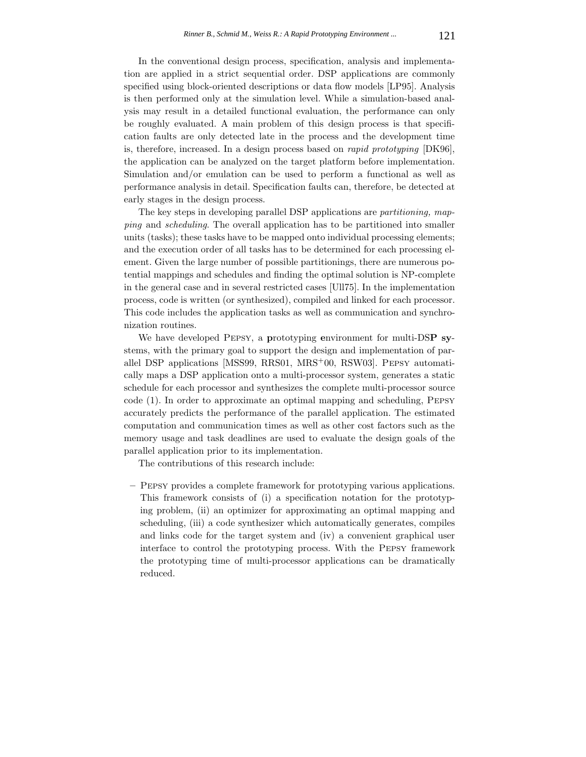In the conventional design process, specification, analysis and implementation are applied in a strict sequential order. DSP applications are commonly specified using block-oriented descriptions or data flow models [LP95]. Analysis is then performed only at the simulation level. While a simulation-based analysis may result in a detailed functional evaluation, the performance can only be roughly evaluated. A main problem of this design process is that specification faults are only detected late in the process and the development time is, therefore, increased. In a design process based on *rapid prototyping* [DK96], the application can be analyzed on the target platform before implementation. Simulation and/or emulation can be used to perform a functional as well as performance analysis in detail. Specification faults can, therefore, be detected at early stages in the design process.

The key steps in developing parallel DSP applications are *partitioning, mapping* and *scheduling*. The overall application has to be partitioned into smaller units (tasks); these tasks have to be mapped onto individual processing elements; and the execution order of all tasks has to be determined for each processing element. Given the large number of possible partitionings, there are numerous potential mappings and schedules and finding the optimal solution is NP-complete in the general case and in several restricted cases [Ull75]. In the implementation process, code is written (or synthesized), compiled and linked for each processor. This code includes the application tasks as well as communication and synchronization routines.

We have developed Pepsy, a **p**rototyping **e**nvironment for multi-DS**P sy**stems, with the primary goal to support the design and implementation of parallel DSP applications [MSS99, RRS01, MRS<sup>+</sup>00, RSW03]. Pepsy automatically maps a DSP application onto a multi-processor system, generates a static schedule for each processor and synthesizes the complete multi-processor source code (1). In order to approximate an optimal mapping and scheduling, Pepsy accurately predicts the performance of the parallel application. The estimated computation and communication times as well as other cost factors such as the memory usage and task deadlines are used to evaluate the design goals of the parallel application prior to its implementation.

The contributions of this research include:

**–** Pepsy provides a complete framework for prototyping various applications. This framework consists of (i) a specification notation for the prototyping problem, (ii) an optimizer for approximating an optimal mapping and scheduling, (iii) a code synthesizer which automatically generates, compiles and links code for the target system and (iv) a convenient graphical user interface to control the prototyping process. With the Pepsy framework the prototyping time of multi-processor applications can be dramatically reduced.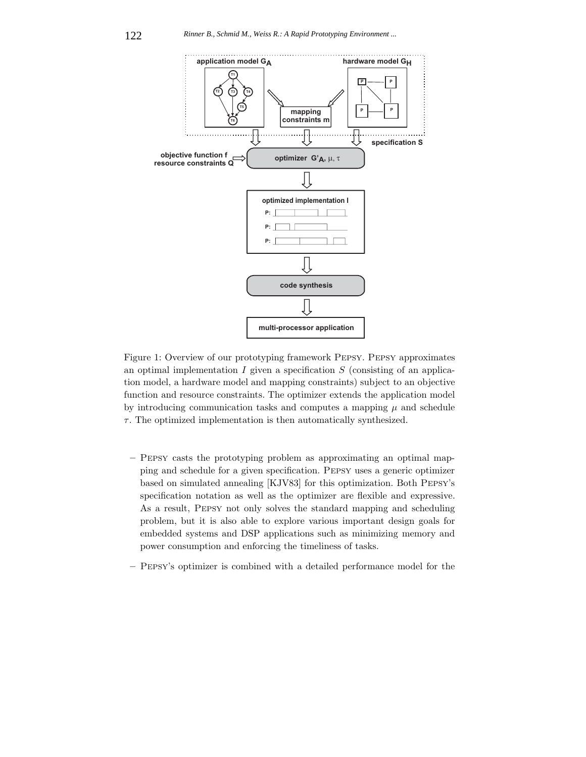

Figure 1: Overview of our prototyping framework Pepsy. Pepsy approximates an optimal implementation  $I$  given a specification  $S$  (consisting of an application model, a hardware model and mapping constraints) subject to an objective function and resource constraints. The optimizer extends the application model by introducing communication tasks and computes a mapping  $\mu$  and schedule  $\tau$ . The optimized implementation is then automatically synthesized.

- **–** Pepsy casts the prototyping problem as approximating an optimal mapping and schedule for a given specification. Pepsy uses a generic optimizer based on simulated annealing [KJV83] for this optimization. Both Pepsy's specification notation as well as the optimizer are flexible and expressive. As a result, Pepsy not only solves the standard mapping and scheduling problem, but it is also able to explore various important design goals for embedded systems and DSP applications such as minimizing memory and power consumption and enforcing the timeliness of tasks.
- **–** Pepsy's optimizer is combined with a detailed performance model for the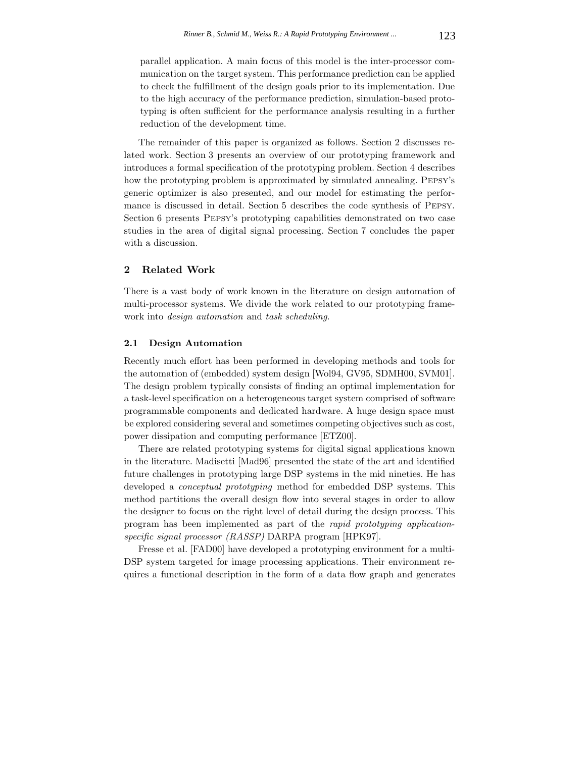parallel application. A main focus of this model is the inter-processor communication on the target system. This performance prediction can be applied to check the fulfillment of the design goals prior to its implementation. Due to the high accuracy of the performance prediction, simulation-based prototyping is often sufficient for the performance analysis resulting in a further reduction of the development time.

The remainder of this paper is organized as follows. Section 2 discusses related work. Section 3 presents an overview of our prototyping framework and introduces a formal specification of the prototyping problem. Section 4 describes how the prototyping problem is approximated by simulated annealing. Pepsy's generic optimizer is also presented, and our model for estimating the performance is discussed in detail. Section 5 describes the code synthesis of Pepsy. Section 6 presents Pepsy's prototyping capabilities demonstrated on two case studies in the area of digital signal processing. Section 7 concludes the paper with a discussion.

# **2 Related Work**

There is a vast body of work known in the literature on design automation of multi-processor systems. We divide the work related to our prototyping framework into *design automation* and *task scheduling*.

### **2.1 Design Automation**

Recently much effort has been performed in developing methods and tools for the automation of (embedded) system design [Wol94, GV95, SDMH00, SVM01]. The design problem typically consists of finding an optimal implementation for a task-level specification on a heterogeneous target system comprised of software programmable components and dedicated hardware. A huge design space must be explored considering several and sometimes competing objectives such as cost, power dissipation and computing performance [ETZ00].

There are related prototyping systems for digital signal applications known in the literature. Madisetti [Mad96] presented the state of the art and identified future challenges in prototyping large DSP systems in the mid nineties. He has developed a *conceptual prototyping* method for embedded DSP systems. This method partitions the overall design flow into several stages in order to allow the designer to focus on the right level of detail during the design process. This program has been implemented as part of the *rapid prototyping applicationspecific signal processor (RASSP)* DARPA program [HPK97].

Fresse et al. [FAD00] have developed a prototyping environment for a multi-DSP system targeted for image processing applications. Their environment requires a functional description in the form of a data flow graph and generates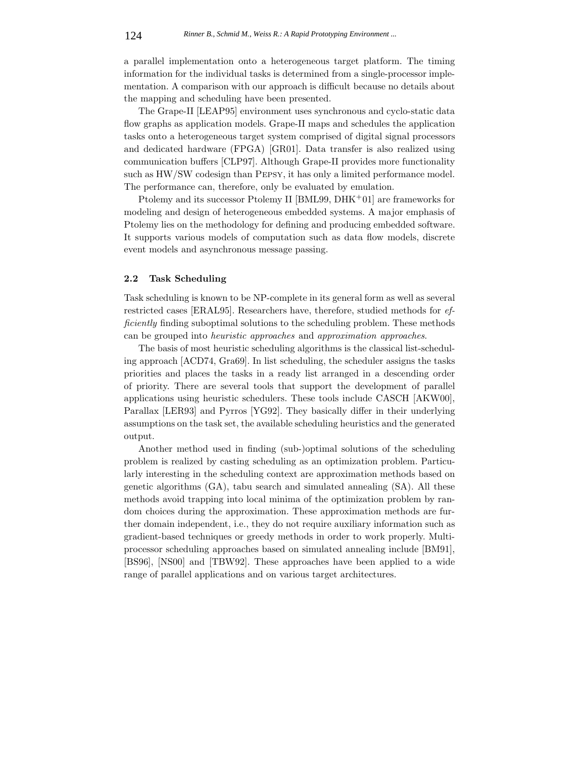a parallel implementation onto a heterogeneous target platform. The timing information for the individual tasks is determined from a single-processor implementation. A comparison with our approach is difficult because no details about the mapping and scheduling have been presented.

The Grape-II [LEAP95] environment uses synchronous and cyclo-static data flow graphs as application models. Grape-II maps and schedules the application tasks onto a heterogeneous target system comprised of digital signal processors and dedicated hardware (FPGA) [GR01]. Data transfer is also realized using communication buffers [CLP97]. Although Grape-II provides more functionality such as HW/SW codesign than Pepsy, it has only a limited performance model. The performance can, therefore, only be evaluated by emulation.

Ptolemy and its successor Ptolemy II [BML99, DHK<sup>+</sup>01] are frameworks for modeling and design of heterogeneous embedded systems. A major emphasis of Ptolemy lies on the methodology for defining and producing embedded software. It supports various models of computation such as data flow models, discrete event models and asynchronous message passing.

### **2.2 Task Scheduling**

Task scheduling is known to be NP-complete in its general form as well as several restricted cases [ERAL95]. Researchers have, therefore, studied methods for *efficiently* finding suboptimal solutions to the scheduling problem. These methods can be grouped into *heuristic approaches* and *approximation approaches*.

The basis of most heuristic scheduling algorithms is the classical list-scheduling approach [ACD74, Gra69]. In list scheduling, the scheduler assigns the tasks priorities and places the tasks in a ready list arranged in a descending order of priority. There are several tools that support the development of parallel applications using heuristic schedulers. These tools include CASCH [AKW00], Parallax [LER93] and Pyrros [YG92]. They basically differ in their underlying assumptions on the task set, the available scheduling heuristics and the generated output.

Another method used in finding (sub-)optimal solutions of the scheduling problem is realized by casting scheduling as an optimization problem. Particularly interesting in the scheduling context are approximation methods based on genetic algorithms (GA), tabu search and simulated annealing (SA). All these methods avoid trapping into local minima of the optimization problem by random choices during the approximation. These approximation methods are further domain independent, i.e., they do not require auxiliary information such as gradient-based techniques or greedy methods in order to work properly. Multiprocessor scheduling approaches based on simulated annealing include [BM91], [BS96], [NS00] and [TBW92]. These approaches have been applied to a wide range of parallel applications and on various target architectures.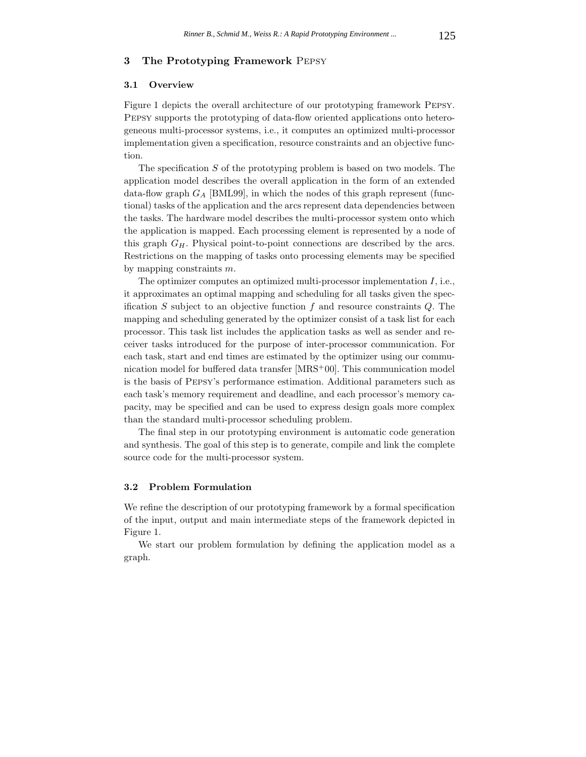### **3 The Prototyping Framework** Pepsy

#### **3.1 Overview**

Figure 1 depicts the overall architecture of our prototyping framework Pepsy. Pepsy supports the prototyping of data-flow oriented applications onto heterogeneous multi-processor systems, i.e., it computes an optimized multi-processor implementation given a specification, resource constraints and an objective function.

The specification  $S$  of the prototyping problem is based on two models. The application model describes the overall application in the form of an extended data-flow graph G*<sup>A</sup>* [BML99], in which the nodes of this graph represent (functional) tasks of the application and the arcs represent data dependencies between the tasks. The hardware model describes the multi-processor system onto which the application is mapped. Each processing element is represented by a node of this graph G*H*. Physical point-to-point connections are described by the arcs. Restrictions on the mapping of tasks onto processing elements may be specified by mapping constraints  $m$ .

The optimizer computes an optimized multi-processor implementation I, i.e., it approximates an optimal mapping and scheduling for all tasks given the specification S subject to an objective function f and resource constraints  $Q$ . The mapping and scheduling generated by the optimizer consist of a task list for each processor. This task list includes the application tasks as well as sender and receiver tasks introduced for the purpose of inter-processor communication. For each task, start and end times are estimated by the optimizer using our communication model for buffered data transfer [MRS<sup>+</sup>00]. This communication model is the basis of Pepsy's performance estimation. Additional parameters such as each task's memory requirement and deadline, and each processor's memory capacity, may be specified and can be used to express design goals more complex than the standard multi-processor scheduling problem.

The final step in our prototyping environment is automatic code generation and synthesis. The goal of this step is to generate, compile and link the complete source code for the multi-processor system.

# **3.2 Problem Formulation**

We refine the description of our prototyping framework by a formal specification of the input, output and main intermediate steps of the framework depicted in Figure 1.

We start our problem formulation by defining the application model as a graph.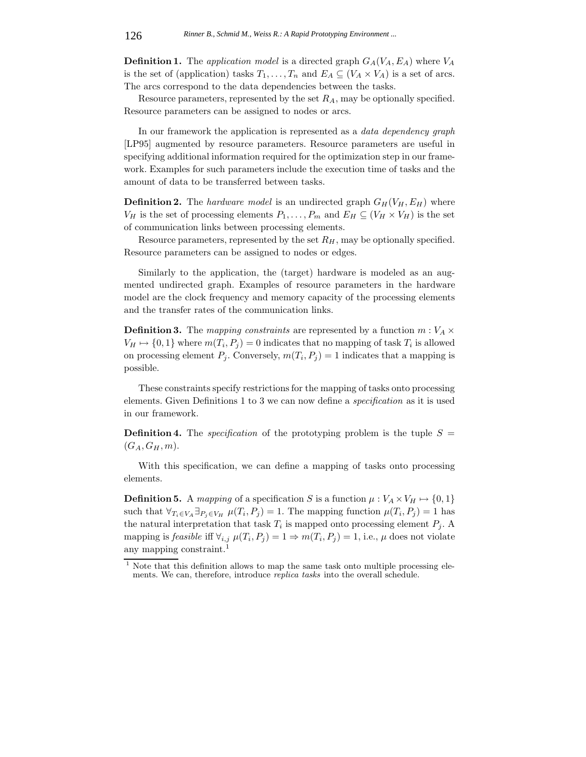**Definition 1.** The *application model* is a directed graph  $G_A(V_A, E_A)$  where  $V_A$ is the set of (application) tasks  $T_1, \ldots, T_n$  and  $E_A \subseteq (V_A \times V_A)$  is a set of arcs. The arcs correspond to the data dependencies between the tasks.

Resource parameters, represented by the set R*A*, may be optionally specified. Resource parameters can be assigned to nodes or arcs.

In our framework the application is represented as a *data dependency graph* [LP95] augmented by resource parameters. Resource parameters are useful in specifying additional information required for the optimization step in our framework. Examples for such parameters include the execution time of tasks and the amount of data to be transferred between tasks.

**Definition 2.** The *hardware model* is an undirected graph  $G_H(V_H, E_H)$  where  $V_H$  is the set of processing elements  $P_1, \ldots, P_m$  and  $E_H \subseteq (V_H \times V_H)$  is the set of communication links between processing elements.

Resource parameters, represented by the set  $R_H$ , may be optionally specified. Resource parameters can be assigned to nodes or edges.

Similarly to the application, the (target) hardware is modeled as an augmented undirected graph. Examples of resource parameters in the hardware model are the clock frequency and memory capacity of the processing elements and the transfer rates of the communication links.

**Definition 3.** The *mapping constraints* are represented by a function  $m: V_A \times$  $V_H \mapsto \{0, 1\}$  where  $m(T_i, P_j) = 0$  indicates that no mapping of task  $T_i$  is allowed on processing element  $P_j$ . Conversely,  $m(T_i, P_j) = 1$  indicates that a mapping is possible.

These constraints specify restrictions for the mapping of tasks onto processing elements. Given Definitions 1 to 3 we can now define a *specification* as it is used in our framework.

**Definition 4.** The *specification* of the prototyping problem is the tuple  $S =$  $(G_A, G_H, m)$ .

With this specification, we can define a mapping of tasks onto processing elements.

**Definition 5.** A mapping of a specification S is a function  $\mu : V_A \times V_H \mapsto \{0,1\}$ such that  $\forall T_i \in V_A \exists P_j \in V_H$   $\mu(T_i, P_j) = 1$ . The mapping function  $\mu(T_i, P_j) = 1$  has the natural interpretation that task  $T_i$  is mapped onto processing element  $P_j$ . A mapping is *feasible* if  $\forall_{i,j}$   $\mu(T_i, P_j) = 1 \Rightarrow m(T_i, P_j) = 1$ , i.e.,  $\mu$  does not violate any mapping constraint.<sup>1</sup>

 $1$  Note that this definition allows to map the same task onto multiple processing elements. We can, therefore, introduce *replica tasks* into the overall schedule.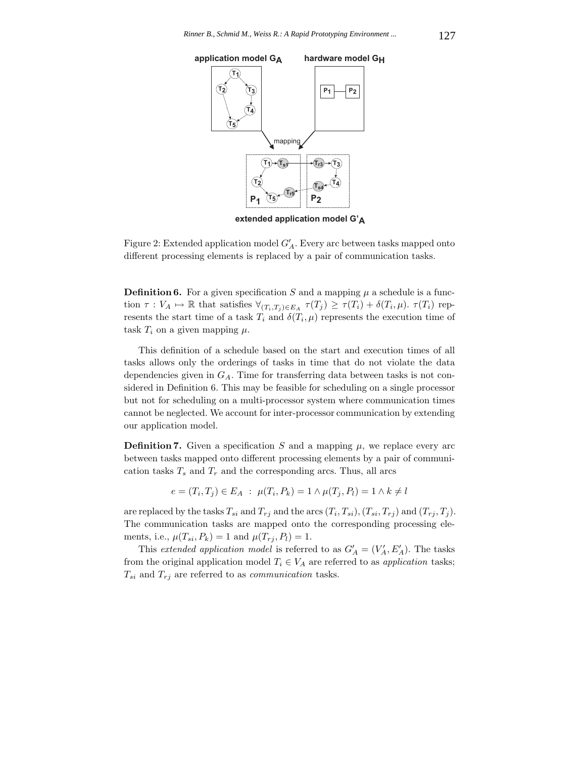

**extended application model G'A**

Figure 2: Extended application model  $G'_{A}$ . Every arc between tasks mapped onto different processing elements is replaced by a pair of communication tasks.

**Definition 6.** For a given specification S and a mapping  $\mu$  a schedule is a function  $\tau: V_A \mapsto \mathbb{R}$  that satisfies  $\forall_{(T_i,T_j)\in E_A} \tau(T_j) \geq \tau(T_i) + \delta(T_i,\mu)$ .  $\tau(T_i)$  represents the start time of a task  $T_i$  and  $\delta(T_i, \mu)$  represents the execution time of task  $T_i$  on a given mapping  $\mu$ .

This definition of a schedule based on the start and execution times of all tasks allows only the orderings of tasks in time that do not violate the data dependencies given in G*A*. Time for transferring data between tasks is not considered in Definition 6. This may be feasible for scheduling on a single processor but not for scheduling on a multi-processor system where communication times cannot be neglected. We account for inter-processor communication by extending our application model.

**Definition 7.** Given a specification S and a mapping  $\mu$ , we replace every arc between tasks mapped onto different processing elements by a pair of communication tasks  $T_s$  and  $T_r$  and the corresponding arcs. Thus, all arcs

$$
e = (T_i, T_j) \in E_A : \mu(T_i, P_k) = 1 \land \mu(T_j, P_l) = 1 \land k \neq l
$$

are replaced by the tasks  $T_{si}$  and  $T_{rj}$  and the arcs  $(T_i, T_{si})$ ,  $(T_{si}, T_{rj})$  and  $(T_{rj}, T_j)$ . The communication tasks are mapped onto the corresponding processing elements, i.e.,  $\mu(T_{si}, P_k) = 1$  and  $\mu(T_{rj}, P_l) = 1$ .

This *extended application model* is referred to as  $G'_{A} = (V'_{A}, E'_{A})$ . The tasks from the original application model  $T_i \in V_A$  are referred to as *application* tasks;  $T_{si}$  and  $T_{rj}$  are referred to as *communication* tasks.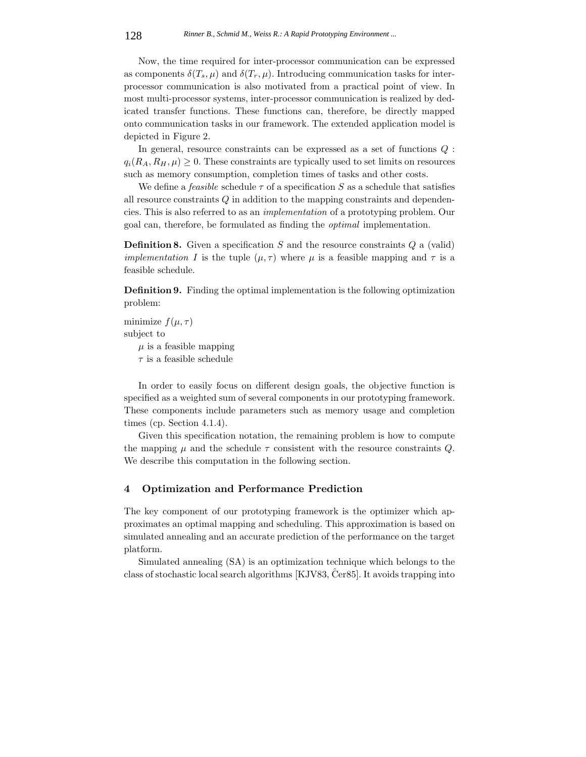Now, the time required for inter-processor communication can be expressed as components  $\delta(T_s, \mu)$  and  $\delta(T_r, \mu)$ . Introducing communication tasks for interprocessor communication is also motivated from a practical point of view. In most multi-processor systems, inter-processor communication is realized by dedicated transfer functions. These functions can, therefore, be directly mapped onto communication tasks in our framework. The extended application model is depicted in Figure 2.

In general, resource constraints can be expressed as a set of functions Q :  $q_i(R_A, R_H, \mu) \geq 0$ . These constraints are typically used to set limits on resources such as memory consumption, completion times of tasks and other costs.

We define a *feasible* schedule  $\tau$  of a specification S as a schedule that satisfies all resource constraints Q in addition to the mapping constraints and dependencies. This is also referred to as an *implementation* of a prototyping problem. Our goal can, therefore, be formulated as finding the *optimal* implementation.

**Definition 8.** Given a specification S and the resource constraints Q a (valid) *implementation* I is the tuple  $(\mu, \tau)$  where  $\mu$  is a feasible mapping and  $\tau$  is a feasible schedule.

**Definition 9.** Finding the optimal implementation is the following optimization problem:

minimize  $f(\mu, \tau)$ subject to  $\mu$  is a feasible mapping

 $\tau$  is a feasible schedule

In order to easily focus on different design goals, the objective function is specified as a weighted sum of several components in our prototyping framework. These components include parameters such as memory usage and completion times (cp. Section 4.1.4).

Given this specification notation, the remaining problem is how to compute the mapping  $\mu$  and the schedule  $\tau$  consistent with the resource constraints Q. We describe this computation in the following section.

# **4 Optimization and Performance Prediction**

The key component of our prototyping framework is the optimizer which approximates an optimal mapping and scheduling. This approximation is based on simulated annealing and an accurate prediction of the performance on the target platform.

Simulated annealing (SA) is an optimization technique which belongs to the class of stochastic local search algorithms  $[KJV83, Čer85]$ . It avoids trapping into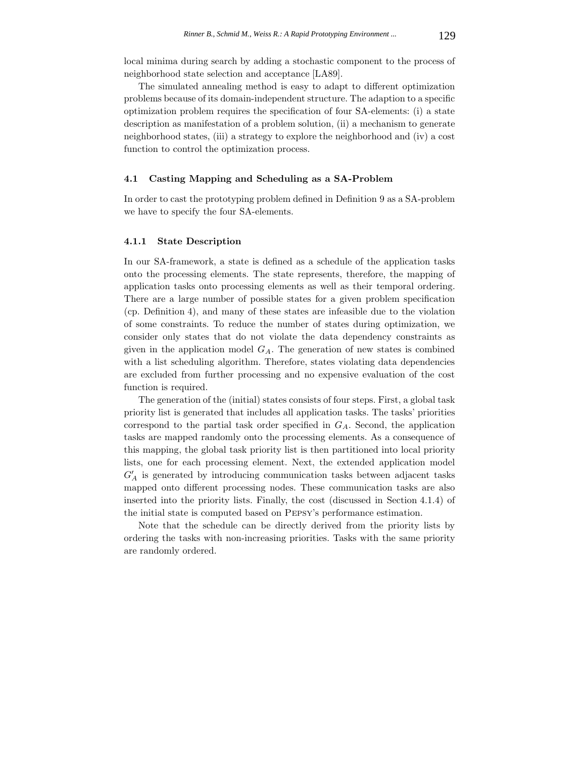local minima during search by adding a stochastic component to the process of neighborhood state selection and acceptance [LA89].

The simulated annealing method is easy to adapt to different optimization problems because of its domain-independent structure. The adaption to a specific optimization problem requires the specification of four SA-elements: (i) a state description as manifestation of a problem solution, (ii) a mechanism to generate neighborhood states, (iii) a strategy to explore the neighborhood and (iv) a cost function to control the optimization process.

# **4.1 Casting Mapping and Scheduling as a SA-Problem**

In order to cast the prototyping problem defined in Definition 9 as a SA-problem we have to specify the four SA-elements.

#### **4.1.1 State Description**

In our SA-framework, a state is defined as a schedule of the application tasks onto the processing elements. The state represents, therefore, the mapping of application tasks onto processing elements as well as their temporal ordering. There are a large number of possible states for a given problem specification (cp. Definition 4), and many of these states are infeasible due to the violation of some constraints. To reduce the number of states during optimization, we consider only states that do not violate the data dependency constraints as given in the application model G*A*. The generation of new states is combined with a list scheduling algorithm. Therefore, states violating data dependencies are excluded from further processing and no expensive evaluation of the cost function is required.

The generation of the (initial) states consists of four steps. First, a global task priority list is generated that includes all application tasks. The tasks' priorities correspond to the partial task order specified in G*A*. Second, the application tasks are mapped randomly onto the processing elements. As a consequence of this mapping, the global task priority list is then partitioned into local priority lists, one for each processing element. Next, the extended application model  $G'_A$  is generated by introducing communication tasks between adjacent tasks mapped onto different processing nodes. These communication tasks are also inserted into the priority lists. Finally, the cost (discussed in Section 4.1.4) of the initial state is computed based on Pepsy's performance estimation.

Note that the schedule can be directly derived from the priority lists by ordering the tasks with non-increasing priorities. Tasks with the same priority are randomly ordered.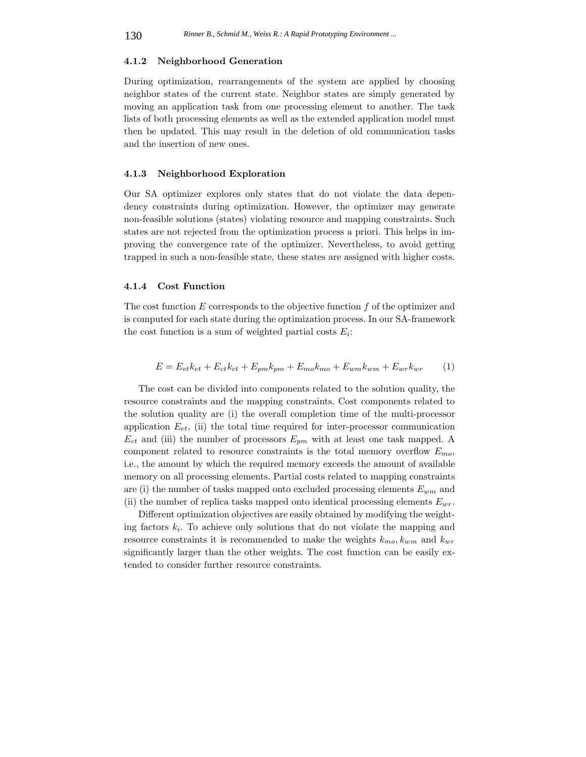### **4.1.2 Neighborhood Generation**

During optimization, rearrangements of the system are applied by choosing neighbor states of the current state. Neighbor states are simply generated by moving an application task from one processing element to another. The task lists of both processing elements as well as the extended application model must then be updated. This may result in the deletion of old communication tasks and the insertion of new ones.

### **4.1.3 Neighborhood Exploration**

Our SA optimizer explores only states that do not violate the data dependency constraints during optimization. However, the optimizer may generate non-feasible solutions (states) violating resource and mapping constraints. Such states are not rejected from the optimization process a priori. This helps in improving the convergence rate of the optimizer. Nevertheless, to avoid getting trapped in such a non-feasible state, these states are assigned with higher costs.

#### **4.1.4 Cost Function**

The cost function  $E$  corresponds to the objective function  $f$  of the optimizer and is computed for each state during the optimization process. In our SA-framework the cost function is a sum of weighted partial costs E*i*:

$$
E = E_{et}k_{et} + E_{ct}k_{ct} + E_{pm}k_{pm} + E_{mo}k_{mo} + E_{wm}k_{wm} + E_{wr}k_{wr}
$$
 (1)

The cost can be divided into components related to the solution quality, the resource constraints and the mapping constraints. Cost components related to the solution quality are (i) the overall completion time of the multi-processor application  $E_{et}$ , (ii) the total time required for inter-processor communication  $E_{ct}$  and (iii) the number of processors  $E_{pm}$  with at least one task mapped. A component related to resource constraints is the total memory overflow E*mo*, i.e., the amount by which the required memory exceeds the amount of available memory on all processing elements. Partial costs related to mapping constraints are (i) the number of tasks mapped onto excluded processing elements E*wm* and (ii) the number of replica tasks mapped onto identical processing elements E*wr*.

Different optimization objectives are easily obtained by modifying the weighting factors  $k_i$ . To achieve only solutions that do not violate the mapping and resource constraints it is recommended to make the weights  $k_{mo}$ ,  $k_{wm}$  and  $k_{wr}$ significantly larger than the other weights. The cost function can be easily extended to consider further resource constraints.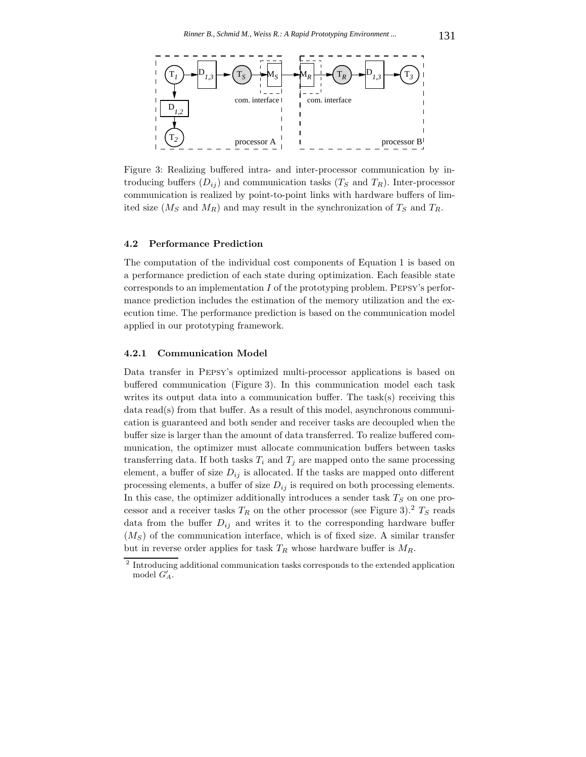

Figure 3: Realizing buffered intra- and inter-processor communication by introducing buffers  $(D_{ij})$  and communication tasks  $(T_S \text{ and } T_R)$ . Inter-processor communication is realized by point-to-point links with hardware buffers of limited size  $(M_S \text{ and } M_R)$  and may result in the synchronization of  $T_S$  and  $T_R$ .

#### **4.2 Performance Prediction**

The computation of the individual cost components of Equation 1 is based on a performance prediction of each state during optimization. Each feasible state corresponds to an implementation  $I$  of the prototyping problem. PEPSY's performance prediction includes the estimation of the memory utilization and the execution time. The performance prediction is based on the communication model applied in our prototyping framework.

### **4.2.1 Communication Model**

Data transfer in Pepsy's optimized multi-processor applications is based on buffered communication (Figure 3). In this communication model each task writes its output data into a communication buffer. The task(s) receiving this data read(s) from that buffer. As a result of this model, asynchronous communication is guaranteed and both sender and receiver tasks are decoupled when the buffer size is larger than the amount of data transferred. To realize buffered communication, the optimizer must allocate communication buffers between tasks transferring data. If both tasks  $T_i$  and  $T_j$  are mapped onto the same processing element, a buffer of size  $D_{ij}$  is allocated. If the tasks are mapped onto different processing elements, a buffer of size  $D_{ij}$  is required on both processing elements. In this case, the optimizer additionally introduces a sender task T*<sup>S</sup>* on one processor and a receiver tasks  $T_R$  on the other processor (see Figure 3).<sup>2</sup>  $T_S$  reads data from the buffer  $D_{ij}$  and writes it to the corresponding hardware buffer (M*S*) of the communication interface, which is of fixed size. A similar transfer but in reverse order applies for task  $T_R$  whose hardware buffer is  $M_R$ .

 $^{\rm 2}$  Introducing additional communication tasks corresponds to the extended application model  $G'_A$ .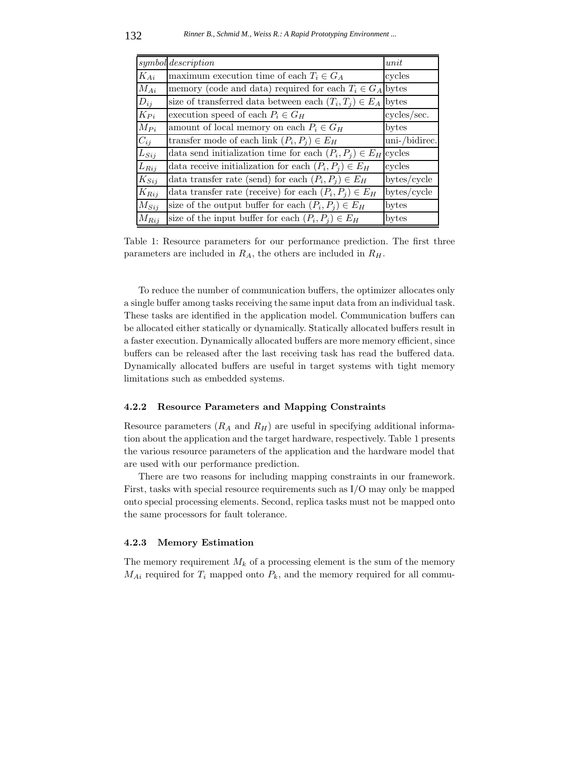|           | symbol description                                                 | unit          |
|-----------|--------------------------------------------------------------------|---------------|
| $K_{Ai}$  | maximum execution time of each $T_i \in G_A$                       | cycles        |
| $M_{Ai}$  | memory (code and data) required for each $T_i \in G_A$ bytes       |               |
| $D_{ij}$  | size of transferred data between each $(T_i, T_j) \in E_A$         | bytes         |
| $K_{Pi}$  | execution speed of each $P_i \in G_H$                              | cycles/sec.   |
| $M_{Pi}$  | amount of local memory on each $P_i \in G_H$                       | bytes         |
| $C_{ij}$  | transfer mode of each link $(P_i, P_j) \in E_H$                    | uni-/bidirec. |
| $L_{Sij}$ | data send initialization time for each $(P_i, P_j) \in E_H$ cycles |               |
| $L_{Rij}$ | data receive initialization for each $(P_i, P_j) \in E_H$          | cycles        |
| $K_{Sij}$ | data transfer rate (send) for each $(P_i, P_j) \in E_H$            | bytes/cycle   |
| $K_{Rij}$ | data transfer rate (receive) for each $(P_i, P_j) \in E_H$         | bytes/cycle   |
| $M_{Sij}$ | size of the output buffer for each $(P_i, P_j) \in E_H$            | bytes         |
| $M_{Rij}$ | size of the input buffer for each $(P_i, P_j) \in E_H$             | bytes         |

Table 1: Resource parameters for our performance prediction. The first three parameters are included in R*A*, the others are included in R*H*.

To reduce the number of communication buffers, the optimizer allocates only a single buffer among tasks receiving the same input data from an individual task. These tasks are identified in the application model. Communication buffers can be allocated either statically or dynamically. Statically allocated buffers result in a faster execution. Dynamically allocated buffers are more memory efficient, since buffers can be released after the last receiving task has read the buffered data. Dynamically allocated buffers are useful in target systems with tight memory limitations such as embedded systems.

### **4.2.2 Resource Parameters and Mapping Constraints**

Resource parameters  $(R_A \text{ and } R_H)$  are useful in specifying additional information about the application and the target hardware, respectively. Table 1 presents the various resource parameters of the application and the hardware model that are used with our performance prediction.

There are two reasons for including mapping constraints in our framework. First, tasks with special resource requirements such as I/O may only be mapped onto special processing elements. Second, replica tasks must not be mapped onto the same processors for fault tolerance.

#### **4.2.3 Memory Estimation**

The memory requirement  $M_k$  of a processing element is the sum of the memory  $M_{Ai}$  required for  $T_i$  mapped onto  $P_k$ , and the memory required for all commu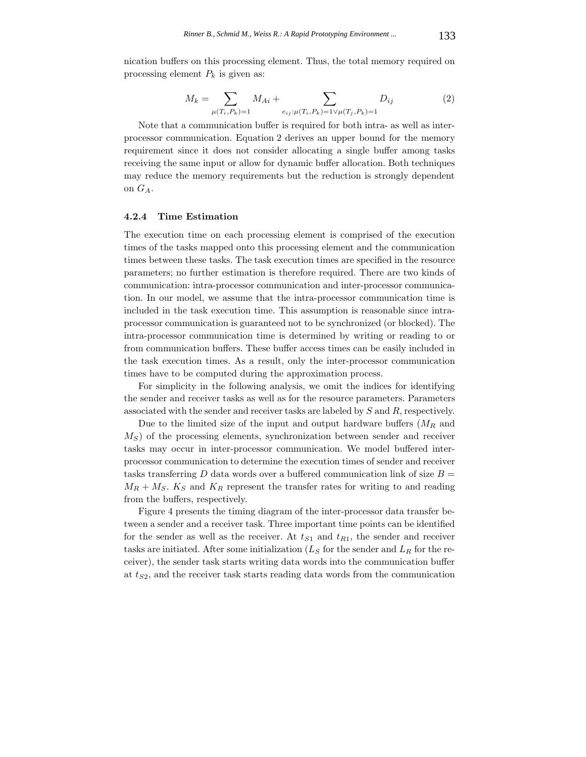nication buffers on this processing element. Thus, the total memory required on processing element  $P_k$  is given as:

$$
M_k = \sum_{\mu(T_i, P_k) = 1} M_{Ai} + \sum_{e_{ij} : \mu(T_i, P_k) = 1 \vee \mu(T_j, P_k) = 1} D_{ij}
$$
(2)

Note that a communication buffer is required for both intra- as well as interprocessor communication. Equation 2 derives an upper bound for the memory requirement since it does not consider allocating a single buffer among tasks receiving the same input or allow for dynamic buffer allocation. Both techniques may reduce the memory requirements but the reduction is strongly dependent on G*A*.

### **4.2.4 Time Estimation**

The execution time on each processing element is comprised of the execution times of the tasks mapped onto this processing element and the communication times between these tasks. The task execution times are specified in the resource parameters; no further estimation is therefore required. There are two kinds of communication: intra-processor communication and inter-processor communication. In our model, we assume that the intra-processor communication time is included in the task execution time. This assumption is reasonable since intraprocessor communication is guaranteed not to be synchronized (or blocked). The intra-processor communication time is determined by writing or reading to or from communication buffers. These buffer access times can be easily included in the task execution times. As a result, only the inter-processor communication times have to be computed during the approximation process.

For simplicity in the following analysis, we omit the indices for identifying the sender and receiver tasks as well as for the resource parameters. Parameters associated with the sender and receiver tasks are labeled by S and R, respectively.

Due to the limited size of the input and output hardware buffers (M*<sup>R</sup>* and M*S*) of the processing elements, synchronization between sender and receiver tasks may occur in inter-processor communication. We model buffered interprocessor communication to determine the execution times of sender and receiver tasks transferring D data words over a buffered communication link of size  $B =$  $M_R + M_S$ .  $K_S$  and  $K_R$  represent the transfer rates for writing to and reading from the buffers, respectively.

Figure 4 presents the timing diagram of the inter-processor data transfer between a sender and a receiver task. Three important time points can be identified for the sender as well as the receiver. At t*S*<sup>1</sup> and t*R*<sup>1</sup>, the sender and receiver tasks are initiated. After some initialization (L*<sup>S</sup>* for the sender and L*<sup>R</sup>* for the receiver), the sender task starts writing data words into the communication buffer at t*S*<sup>2</sup>, and the receiver task starts reading data words from the communication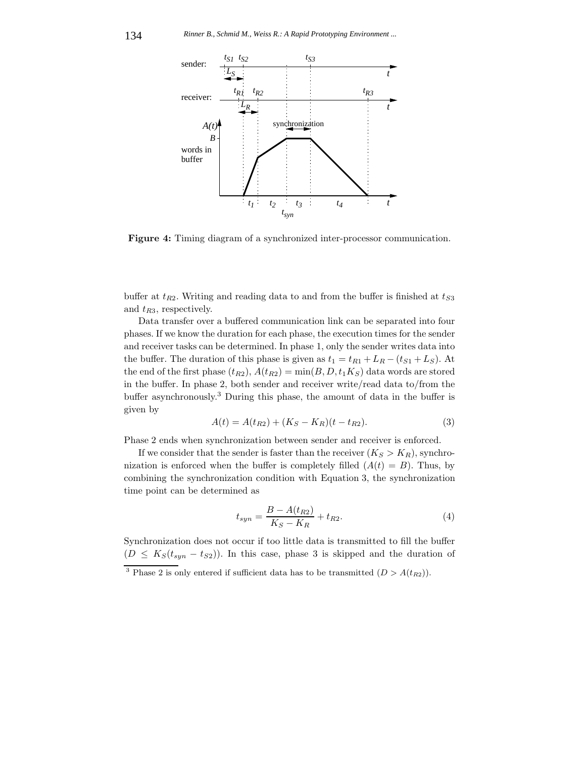

**Figure 4:** Timing diagram of a synchronized inter-processor communication.

buffer at  $t_{R2}$ . Writing and reading data to and from the buffer is finished at  $t_{S3}$ and t*R*<sup>3</sup>, respectively.

Data transfer over a buffered communication link can be separated into four phases. If we know the duration for each phase, the execution times for the sender and receiver tasks can be determined. In phase 1, only the sender writes data into the buffer. The duration of this phase is given as  $t_1 = t_{R1} + L_R - (t_{S1} + L_S)$ . At the end of the first phase  $(t_{R2})$ ,  $A(t_{R2}) = min(B, D, t_1 K_S)$  data words are stored in the buffer. In phase 2, both sender and receiver write/read data to/from the buffer asynchronously.<sup>3</sup> During this phase, the amount of data in the buffer is given by

$$
A(t) = A(t_{R2}) + (K_S - K_R)(t - t_{R2}).
$$
\n(3)

Phase 2 ends when synchronization between sender and receiver is enforced.

If we consider that the sender is faster than the receiver  $(K_S > K_R)$ , synchronization is enforced when the buffer is completely filled  $(A(t) = B)$ . Thus, by combining the synchronization condition with Equation 3, the synchronization time point can be determined as

$$
t_{syn} = \frac{B - A(t_{R2})}{K_S - K_R} + t_{R2}.\tag{4}
$$

Synchronization does not occur if too little data is transmitted to fill the buffer  $(D \leq K_S(t_{syn} - t_{S2}))$ . In this case, phase 3 is skipped and the duration of

<sup>&</sup>lt;sup>3</sup> Phase 2 is only entered if sufficient data has to be transmitted  $(D > A(t_{R2}))$ .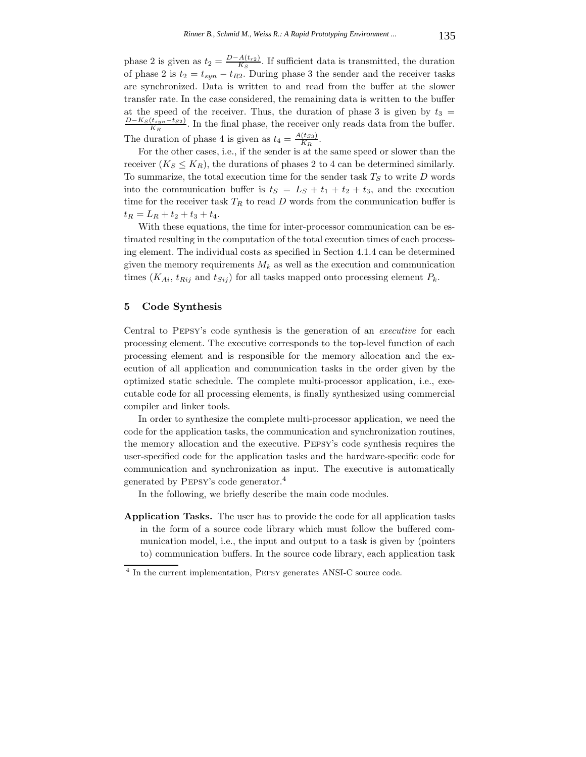phase 2 is given as  $t_2 = \frac{D-A(t_{r2})}{K_S}$ . If sufficient data is transmitted, the duration of phase 2 is  $t_2 = t_{syn} - t_{R2}$ . During phase 3 the sender and the receiver tasks are synchronized. Data is written to and read from the buffer at the slower transfer rate. In the case considered, the remaining data is written to the buffer at the speed of the receiver. Thus, the duration of phase 3 is given by  $t_3 = \frac{D-K_S(t_{syn}-t_{S2})}{K_R}$ . In the final phase, the receiver only reads data from the buffer. The duration of phase 4 is given as  $t_4 = \frac{A(t_{ss})}{K_R}$ .

For the other cases, i.e., if the sender is at the same speed or slower than the receiver  $(K_S \leq K_R)$ , the durations of phases 2 to 4 can be determined similarly. To summarize, the total execution time for the sender task  $T<sub>S</sub>$  to write  $D$  words into the communication buffer is  $t<sub>S</sub> = L<sub>S</sub> + t<sub>1</sub> + t<sub>2</sub> + t<sub>3</sub>$ , and the execution time for the receiver task  $T_R$  to read  $D$  words from the communication buffer is  $t_R = L_R + t_2 + t_3 + t_4.$ 

With these equations, the time for inter-processor communication can be estimated resulting in the computation of the total execution times of each processing element. The individual costs as specified in Section 4.1.4 can be determined given the memory requirements  $M_k$  as well as the execution and communication times  $(K_{Ai}, t_{Rij}$  and  $t_{Sij})$  for all tasks mapped onto processing element  $P_k$ .

# **5 Code Synthesis**

Central to Pepsy's code synthesis is the generation of an *executive* for each processing element. The executive corresponds to the top-level function of each processing element and is responsible for the memory allocation and the execution of all application and communication tasks in the order given by the optimized static schedule. The complete multi-processor application, i.e., executable code for all processing elements, is finally synthesized using commercial compiler and linker tools.

In order to synthesize the complete multi-processor application, we need the code for the application tasks, the communication and synchronization routines, the memory allocation and the executive. Pepsy's code synthesis requires the user-specified code for the application tasks and the hardware-specific code for communication and synchronization as input. The executive is automatically generated by Pepsy's code generator.<sup>4</sup>

In the following, we briefly describe the main code modules.

**Application Tasks.** The user has to provide the code for all application tasks in the form of a source code library which must follow the buffered communication model, i.e., the input and output to a task is given by (pointers to) communication buffers. In the source code library, each application task

<sup>4</sup> In the current implementation, Pepsy generates ANSI-C source code.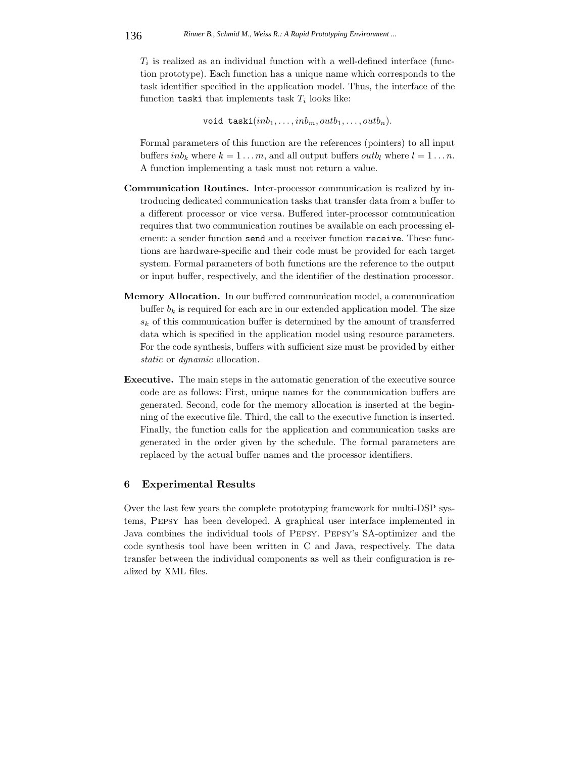$T_i$  is realized as an individual function with a well-defined interface (function prototype). Each function has a unique name which corresponds to the task identifier specified in the application model. Thus, the interface of the function  $\texttt{taski}$  that implements task  $T_i$  looks like:

void taski $(inb_1, \ldots, inb_m, outb_1, \ldots, outb_n).$ 

Formal parameters of this function are the references (pointers) to all input buffers  $inb_k$  where  $k = 1...m$ , and all output buffers *outb<sub>l</sub>* where  $l = 1...n$ . A function implementing a task must not return a value.

- **Communication Routines.** Inter-processor communication is realized by introducing dedicated communication tasks that transfer data from a buffer to a different processor or vice versa. Buffered inter-processor communication requires that two communication routines be available on each processing element: a sender function send and a receiver function receive. These functions are hardware-specific and their code must be provided for each target system. Formal parameters of both functions are the reference to the output or input buffer, respectively, and the identifier of the destination processor.
- **Memory Allocation.** In our buffered communication model, a communication buffer  $b_k$  is required for each arc in our extended application model. The size  $s_k$  of this communication buffer is determined by the amount of transferred data which is specified in the application model using resource parameters. For the code synthesis, buffers with sufficient size must be provided by either *static* or *dynamic* allocation.
- **Executive.** The main steps in the automatic generation of the executive source code are as follows: First, unique names for the communication buffers are generated. Second, code for the memory allocation is inserted at the beginning of the executive file. Third, the call to the executive function is inserted. Finally, the function calls for the application and communication tasks are generated in the order given by the schedule. The formal parameters are replaced by the actual buffer names and the processor identifiers.

# **6 Experimental Results**

Over the last few years the complete prototyping framework for multi-DSP systems, Pepsy has been developed. A graphical user interface implemented in Java combines the individual tools of Pepsy. Pepsy's SA-optimizer and the code synthesis tool have been written in C and Java, respectively. The data transfer between the individual components as well as their configuration is realized by XML files.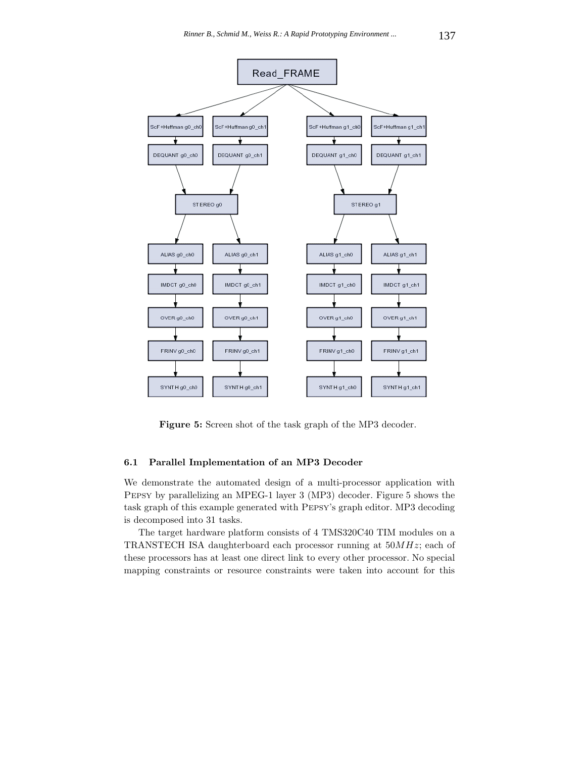

**Figure 5:** Screen shot of the task graph of the MP3 decoder.

# **6.1 Parallel Implementation of an MP3 Decoder**

We demonstrate the automated design of a multi-processor application with Pepsy by parallelizing an MPEG-1 layer 3 (MP3) decoder. Figure 5 shows the task graph of this example generated with Pepsy's graph editor. MP3 decoding is decomposed into 31 tasks.

The target hardware platform consists of 4 TMS320C40 TIM modules on a TRANSTECH ISA daughterboard each processor running at 50MHz; each of these processors has at least one direct link to every other processor. No special mapping constraints or resource constraints were taken into account for this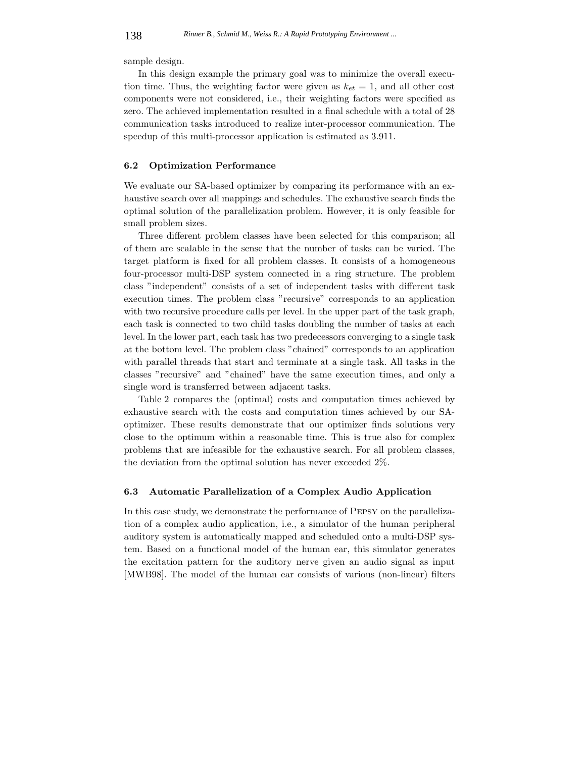sample design.

In this design example the primary goal was to minimize the overall execution time. Thus, the weighting factor were given as  $k_{et} = 1$ , and all other cost components were not considered, i.e., their weighting factors were specified as zero. The achieved implementation resulted in a final schedule with a total of 28 communication tasks introduced to realize inter-processor communication. The speedup of this multi-processor application is estimated as 3.911.

#### **6.2 Optimization Performance**

We evaluate our SA-based optimizer by comparing its performance with an exhaustive search over all mappings and schedules. The exhaustive search finds the optimal solution of the parallelization problem. However, it is only feasible for small problem sizes.

Three different problem classes have been selected for this comparison; all of them are scalable in the sense that the number of tasks can be varied. The target platform is fixed for all problem classes. It consists of a homogeneous four-processor multi-DSP system connected in a ring structure. The problem class "independent" consists of a set of independent tasks with different task execution times. The problem class "recursive" corresponds to an application with two recursive procedure calls per level. In the upper part of the task graph, each task is connected to two child tasks doubling the number of tasks at each level. In the lower part, each task has two predecessors converging to a single task at the bottom level. The problem class "chained" corresponds to an application with parallel threads that start and terminate at a single task. All tasks in the classes "recursive" and "chained" have the same execution times, and only a single word is transferred between adjacent tasks.

Table 2 compares the (optimal) costs and computation times achieved by exhaustive search with the costs and computation times achieved by our SAoptimizer. These results demonstrate that our optimizer finds solutions very close to the optimum within a reasonable time. This is true also for complex problems that are infeasible for the exhaustive search. For all problem classes, the deviation from the optimal solution has never exceeded 2%.

#### **6.3 Automatic Parallelization of a Complex Audio Application**

In this case study, we demonstrate the performance of Pepsy on the parallelization of a complex audio application, i.e., a simulator of the human peripheral auditory system is automatically mapped and scheduled onto a multi-DSP system. Based on a functional model of the human ear, this simulator generates the excitation pattern for the auditory nerve given an audio signal as input [MWB98]. The model of the human ear consists of various (non-linear) filters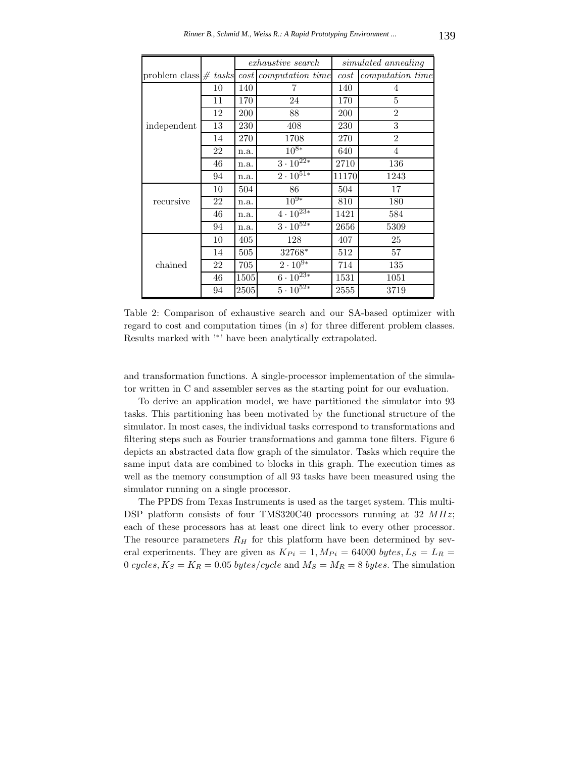|                         |    | <i>exhaustive search</i> |                               | simulated annealing |                  |
|-------------------------|----|--------------------------|-------------------------------|---------------------|------------------|
| problem class $#$ tasks |    |                          | cost computation time         | cost                | computation time |
|                         | 10 | 140                      | 7                             | 140                 | 4                |
|                         | 11 | 170                      | 24                            | 170                 | 5                |
|                         | 12 | 200                      | 88                            | 200                 | $\overline{2}$   |
| independent             | 13 | 230                      | 408                           | 230                 | 3                |
|                         | 14 | 270                      | 1708                          | 270                 | $\overline{2}$   |
|                         | 22 | n.a.                     | $10^{8*}$                     | 640                 | 4                |
|                         | 46 | n.a.                     | $3 \cdot \overline{10^{22*}}$ | 2710                | 136              |
|                         | 94 | n.a.                     | $2 \cdot 10^{51*}$            | 11170               | 1243             |
|                         | 10 | 504                      | 86                            | 504                 | 17               |
| recursive               | 22 | n.a.                     | $10^{9*}$                     | 810                 | 180              |
|                         | 46 | n.a.                     | $4 \cdot 10^{23*}$            | 1421                | 584              |
|                         | 94 | n.a.                     | $3 \cdot 10^{52*}$            | 2656                | 5309             |
|                         | 10 | 405                      | 128                           | 407                 | 25               |
|                         | 14 | 505                      | 32768*                        | 512                 | 57               |
| chained                 | 22 | 705                      | $2 \cdot 10^{9*}$             | 714                 | 135              |
|                         | 46 | 1505                     | $6 \cdot 10^{23*}$            | 1531                | 1051             |
|                         | 94 | 2505                     | $5 \cdot \overline{10^{52*}}$ | 2555                | 3719             |

Table 2: Comparison of exhaustive search and our SA-based optimizer with regard to cost and computation times (in s) for three different problem classes. Results marked with '∗' have been analytically extrapolated.

and transformation functions. A single-processor implementation of the simulator written in C and assembler serves as the starting point for our evaluation.

To derive an application model, we have partitioned the simulator into 93 tasks. This partitioning has been motivated by the functional structure of the simulator. In most cases, the individual tasks correspond to transformations and filtering steps such as Fourier transformations and gamma tone filters. Figure 6 depicts an abstracted data flow graph of the simulator. Tasks which require the same input data are combined to blocks in this graph. The execution times as well as the memory consumption of all 93 tasks have been measured using the simulator running on a single processor.

The PPDS from Texas Instruments is used as the target system. This multi-DSP platform consists of four TMS320C40 processors running at  $32$  MHz; each of these processors has at least one direct link to every other processor. The resource parameters  $R_H$  for this platform have been determined by several experiments. They are given as  $K_{Pi} = 1, M_{Pi} = 64000 \text{ bytes}, L_S = L_R =$ 0 cycles,  $K_S = K_R = 0.05$  bytes/cycle and  $M_S = M_R = 8$  bytes. The simulation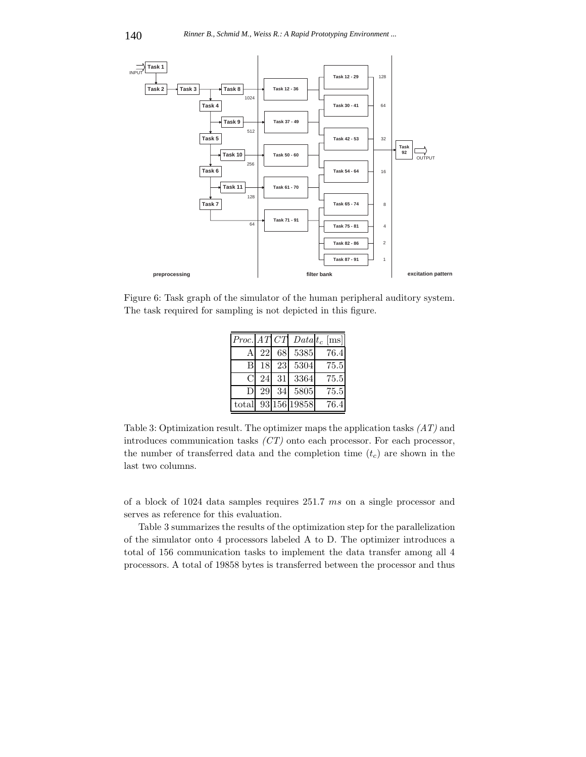

Figure 6: Task graph of the simulator of the human peripheral auditory system. The task required for sampling is not depicted in this figure.

|                |    |    |              | $Proc.$ $AT$ $CT$ $Data$ $t_c$ $[ms]$ |
|----------------|----|----|--------------|---------------------------------------|
| A              | 22 | 68 | 5385         | 76.4                                  |
| B              |    |    | 18 23 5304   | 75.5                                  |
| C              | 24 |    | 31 3364      | 75.5                                  |
| $\mathsf{D}$   | 29 | 34 | 5805         | 75.5                                  |
| $_{\rm total}$ |    |    | 93 156 19858 | 76.4                                  |

Table 3: Optimization result. The optimizer maps the application tasks *(AT)* and introduces communication tasks *(CT)* onto each processor. For each processor, the number of transferred data and the completion time  $(t_c)$  are shown in the last two columns.

of a block of 1024 data samples requires 251.7 ms on a single processor and serves as reference for this evaluation.

Table 3 summarizes the results of the optimization step for the parallelization of the simulator onto 4 processors labeled A to D. The optimizer introduces a total of 156 communication tasks to implement the data transfer among all 4 processors. A total of 19858 bytes is transferred between the processor and thus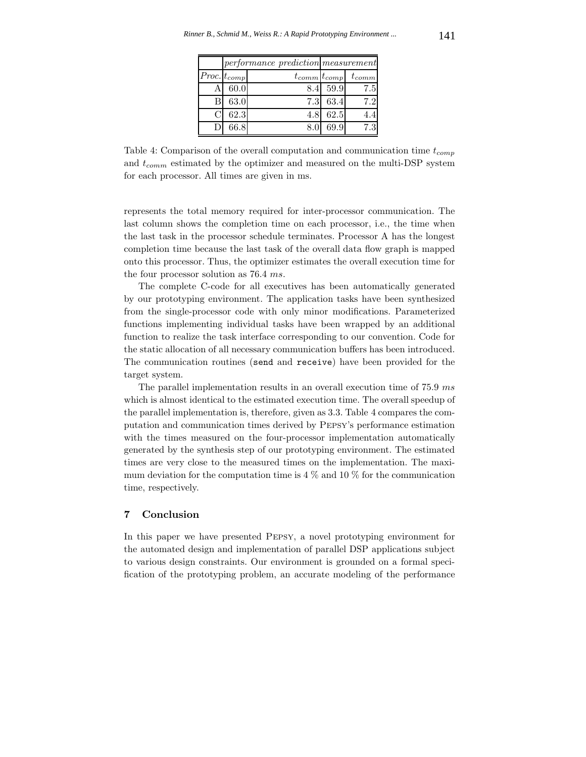|                    |      | performance prediction measurement |          |                                  |  |
|--------------------|------|------------------------------------|----------|----------------------------------|--|
| $ Proc. t_{comp} $ |      |                                    |          | $t_{comm}$ $t_{comp}$ $t_{comm}$ |  |
|                    | 60.0 |                                    | 8.4 59.9 | 7.5                              |  |
| В                  | 63.0 |                                    | 7.3 63.4 | 7.2                              |  |
|                    | 62.3 | 4.8                                | 62.5     | 4.4                              |  |
|                    | 66.8 |                                    | 69.9     | 7.3                              |  |

Table 4: Comparison of the overall computation and communication time t*comp* and t*comm* estimated by the optimizer and measured on the multi-DSP system for each processor. All times are given in ms.

represents the total memory required for inter-processor communication. The last column shows the completion time on each processor, i.e., the time when the last task in the processor schedule terminates. Processor A has the longest completion time because the last task of the overall data flow graph is mapped onto this processor. Thus, the optimizer estimates the overall execution time for the four processor solution as 76.4 ms.

The complete C-code for all executives has been automatically generated by our prototyping environment. The application tasks have been synthesized from the single-processor code with only minor modifications. Parameterized functions implementing individual tasks have been wrapped by an additional function to realize the task interface corresponding to our convention. Code for the static allocation of all necessary communication buffers has been introduced. The communication routines (send and receive) have been provided for the target system.

The parallel implementation results in an overall execution time of 75.9 ms which is almost identical to the estimated execution time. The overall speedup of the parallel implementation is, therefore, given as 3.3. Table 4 compares the computation and communication times derived by Pepsy's performance estimation with the times measured on the four-processor implementation automatically generated by the synthesis step of our prototyping environment. The estimated times are very close to the measured times on the implementation. The maximum deviation for the computation time is  $4\%$  and  $10\%$  for the communication time, respectively.

# **7 Conclusion**

In this paper we have presented Pepsy, a novel prototyping environment for the automated design and implementation of parallel DSP applications subject to various design constraints. Our environment is grounded on a formal specification of the prototyping problem, an accurate modeling of the performance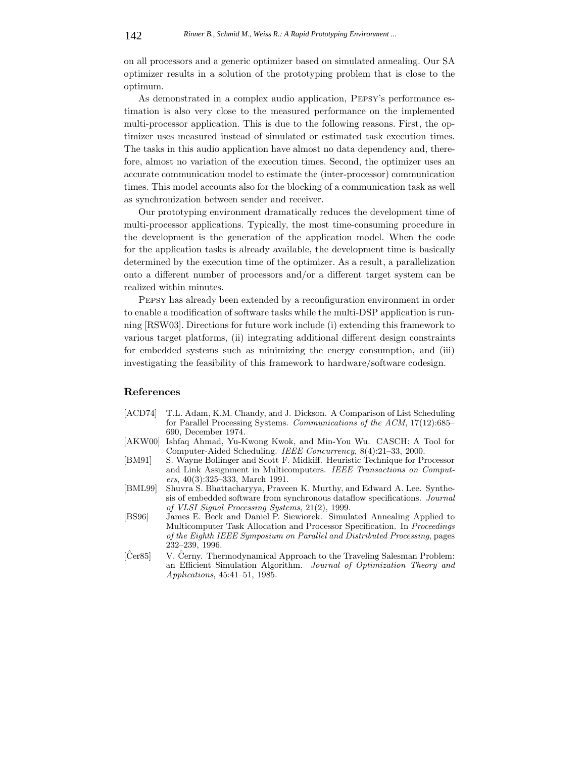on all processors and a generic optimizer based on simulated annealing. Our SA optimizer results in a solution of the prototyping problem that is close to the optimum.

As demonstrated in a complex audio application, Pepsy's performance estimation is also very close to the measured performance on the implemented multi-processor application. This is due to the following reasons. First, the optimizer uses measured instead of simulated or estimated task execution times. The tasks in this audio application have almost no data dependency and, therefore, almost no variation of the execution times. Second, the optimizer uses an accurate communication model to estimate the (inter-processor) communication times. This model accounts also for the blocking of a communication task as well as synchronization between sender and receiver.

Our prototyping environment dramatically reduces the development time of multi-processor applications. Typically, the most time-consuming procedure in the development is the generation of the application model. When the code for the application tasks is already available, the development time is basically determined by the execution time of the optimizer. As a result, a parallelization onto a different number of processors and/or a different target system can be realized within minutes.

Pepsy has already been extended by a reconfiguration environment in order to enable a modification of software tasks while the multi-DSP application is running [RSW03]. Directions for future work include (i) extending this framework to various target platforms, (ii) integrating additional different design constraints for embedded systems such as minimizing the energy consumption, and (iii) investigating the feasibility of this framework to hardware/software codesign.

### **References**

- [ACD74] T.L. Adam, K.M. Chandy, and J. Dickson. A Comparison of List Scheduling for Parallel Processing Systems. *Communications of the ACM*, 17(12):685– 690, December 1974.
- [AKW00] Ishfaq Ahmad, Yu-Kwong Kwok, and Min-You Wu. CASCH: A Tool for Computer-Aided Scheduling. *IEEE Concurrency*, 8(4):21–33, 2000.
- [BM91] S. Wayne Bollinger and Scott F. Midkiff. Heuristic Technique for Processor and Link Assignment in Multicomputers. *IEEE Transactions on Computers*, 40(3):325–333, March 1991.
- [BML99] Shuvra S. Bhattacharyya, Praveen K. Murthy, and Edward A. Lee. Synthesis of embedded software from synchronous dataflow specifications. *Journal of VLSI Signal Processing Systems*, 21(2), 1999.
- [BS96] James E. Beck and Daniel P. Siewiorek. Simulated Annealing Applied to Multicomputer Task Allocation and Processor Specification. In *Proceedings of the Eighth IEEE Symposium on Parallel and Distributed Processing*, pages 232–239, 1996.
- [Cer85] V. Cerny. Thermodynamical Approach to the Traveling Salesman Problem: an Efficient Simulation Algorithm. *Journal of Optimization Theory and Applications*, 45:41–51, 1985.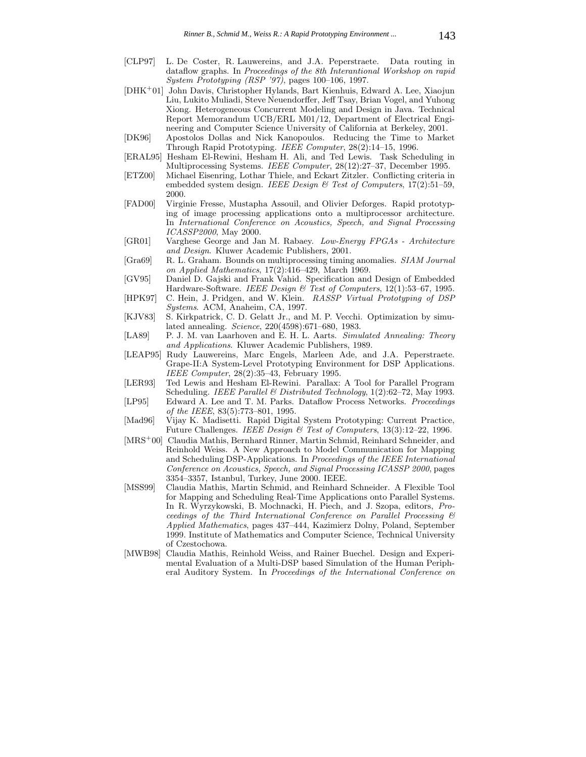- [CLP97] L. De Coster, R. Lauwereins, and J.A. Peperstraete. Data routing in dataflow graphs. In *Proceedings of the 8th Interantional Workshop on rapid System Prototyping (RSP '97)*, pages 100–106, 1997.
- [DHK<sup>+</sup>01] John Davis, Christopher Hylands, Bart Kienhuis, Edward A. Lee, Xiaojun Liu, Lukito Muliadi, Steve Neuendorffer, Jeff Tsay, Brian Vogel, and Yuhong Xiong. Heterogeneous Concurrent Modeling and Design in Java. Technical Report Memorandum UCB/ERL M01/12, Department of Electrical Engineering and Computer Science University of California at Berkeley, 2001.
- [DK96] Apostolos Dollas and Nick Kanopoulos. Reducing the Time to Market Through Rapid Prototyping. *IEEE Computer*, 28(2):14–15, 1996.
- [ERAL95] Hesham El-Rewini, Hesham H. Ali, and Ted Lewis. Task Scheduling in Multiprocessing Systems. *IEEE Computer*, 28(12):27–37, December 1995.
- [ETZ00] Michael Eisenring, Lothar Thiele, and Eckart Zitzler. Conflicting criteria in embedded system design. *IEEE Design & Test of Computers*, 17(2):51–59, 2000.
- [FAD00] Virginie Fresse, Mustapha Assouil, and Olivier Deforges. Rapid prototyping of image processing applications onto a multiprocessor architecture. In *International Conference on Acoustics, Speech, and Signal Processing ICASSP2000*, May 2000.
- [GR01] Varghese George and Jan M. Rabaey. *Low-Energy FPGAs Architecture and Design*. Kluwer Academic Publishers, 2001.
- [Gra69] R. L. Graham. Bounds on multiprocessing timing anomalies. *SIAM Journal on Applied Mathematics*, 17(2):416–429, March 1969.
- [GV95] Daniel D. Gajski and Frank Vahid. Specification and Design of Embedded Hardware-Software. *IEEE Design & Test of Computers*, 12(1):53–67, 1995.
- [HPK97] C. Hein, J. Pridgen, and W. Klein. *RASSP Virtual Prototyping of DSP Systems*. ACM, Anaheim, CA, 1997.
- [KJV83] S. Kirkpatrick, C. D. Gelatt Jr., and M. P. Vecchi. Optimization by simulated annealing. *Science*, 220(4598):671–680, 1983.
- [LA89] P. J. M. van Laarhoven and E. H. L. Aarts. *Simulated Annealing: Theory and Applications*. Kluwer Academic Publishers, 1989.
- [LEAP95] Rudy Lauwereins, Marc Engels, Marleen Ade, and J.A. Peperstraete. Grape-II:A System-Level Prototyping Environment for DSP Applications. *IEEE Computer*, 28(2):35–43, February 1995.
- [LER93] Ted Lewis and Hesham El-Rewini. Parallax: A Tool for Parallel Program Scheduling. *IEEE Parallel & Distributed Technology*, 1(2):62–72, May 1993.
- [LP95] Edward A. Lee and T. M. Parks. Dataflow Process Networks. *Proceedings of the IEEE*, 83(5):773–801, 1995.
- [Mad96] Vijay K. Madisetti. Rapid Digital System Prototyping: Current Practice, Future Challenges. *IEEE Design & Test of Computers*, 13(3):12–22, 1996.
- [MRS<sup>+</sup>00] Claudia Mathis, Bernhard Rinner, Martin Schmid, Reinhard Schneider, and Reinhold Weiss. A New Approach to Model Communication for Mapping and Scheduling DSP-Applications. In *Proceedings of the IEEE International Conference on Acoustics, Speech, and Signal Processing ICASSP 2000*, pages 3354–3357, Istanbul, Turkey, June 2000. IEEE.
- [MSS99] Claudia Mathis, Martin Schmid, and Reinhard Schneider. A Flexible Tool for Mapping and Scheduling Real-Time Applications onto Parallel Systems. In R. Wyrzykowski, B. Mochnacki, H. Piech, and J. Szopa, editors, *Proceedings of the Third International Conference on Parallel Processing & Applied Mathematics*, pages 437–444, Kazimierz Dolny, Poland, September 1999. Institute of Mathematics and Computer Science, Technical University of Czestochowa.
- [MWB98] Claudia Mathis, Reinhold Weiss, and Rainer Buechel. Design and Experimental Evaluation of a Multi-DSP based Simulation of the Human Peripheral Auditory System. In *Proceedings of the International Conference on*